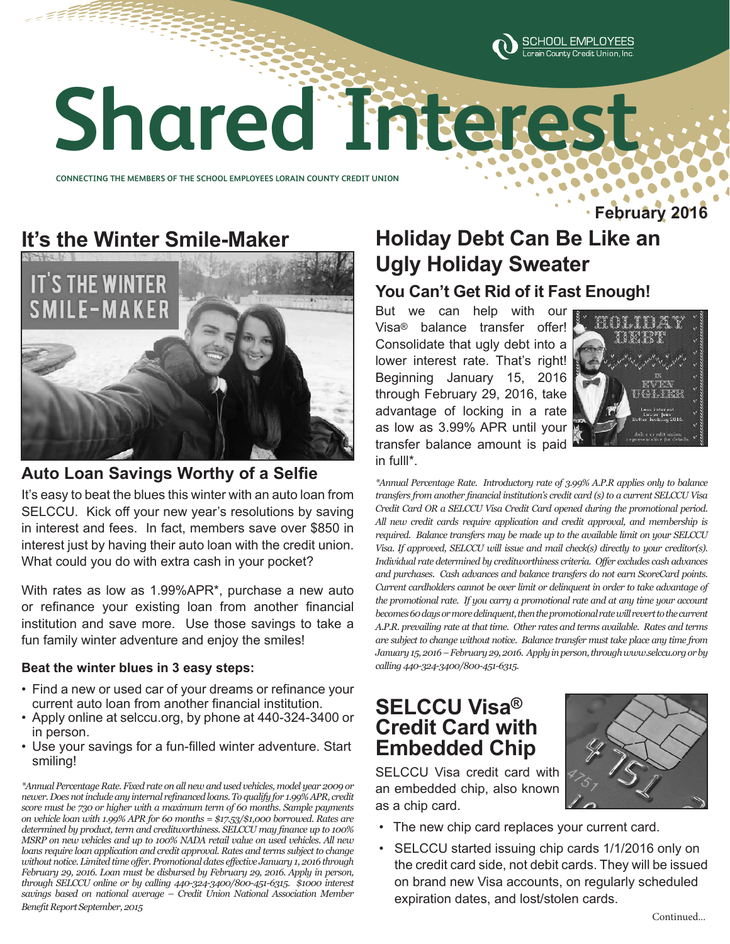

# **Shared Interest Shared Interest**

**CONNECTING THE MEMBERS OF THE SCHOOL EMPLOYEES LORAIN COUNTY CREDIT UNION CONNECTING THE MEMBERS OF THE SCHOOL EMPLOYEES LORAIN COUNTY CREDIT UNION** 

# **It's the Winter Smile-Maker**



## **Auto Loan Savings Worthy of a Selfie**

It's easy to beat the blues this winter with an auto loan from SELCCU. Kick off your new year's resolutions by saving in interest and fees. In fact, members save over \$850 in interest just by having their auto loan with the credit union. What could you do with extra cash in your pocket?

With rates as low as 1.99%APR\*, purchase a new auto or refinance your existing loan from another financial institution and save more. Use those savings to take a fun family winter adventure and enjoy the smiles!

#### **Beat the winter blues in 3 easy steps:**

- Find a new or used car of your dreams or refinance your current auto loan from another financial institution.
- Apply online at selccu.org, by phone at 440-324-3400 or in person.
- Use your savings for a fun-filled winter adventure. Start smiling!

*\*Annual Percentage Rate. Fixed rate on all new and used vehicles, model year 2009 or newer. Does not include any internal refinanced loans. To qualify for 1.99% APR, credit score must be 730 or higher with a maximum term of 60 months. Sample payments on vehicle loan with 1.99% APR for 60 months = \$17.53/\$1,000 borrowed. Rates are determined by product, term and creditworthiness. SELCCU may finance up to 100% MSRP on new vehicles and up to 100% NADA retail value on used vehicles. All new loans require loan application and credit approval. Rates and terms subject to change without notice. Limited time offer. Promotional dates effective January 1, 2016 through February 29, 2016. Loan must be disbursed by February 29, 2016. Apply in person, through SELCCU online or by calling 440-324-3400/800-451-6315. \$1000 interest savings based on national average – Credit Union National Association Member Benefit Report September, 2015*

# **Holiday Debt Can Be Like an Ugly Holiday Sweater**

## **You Can't Get Rid of it Fast Enough!**

But we can help with our Visa® balance transfer offer! Consolidate that ugly debt into a lower interest rate. That's right! Beginning January 15, 2016 through February 29, 2016, take advantage of locking in a rate as low as 3.99% APR until your transfer balance amount is paid in fulll\*.



**February 2016**

*\*Annual Percentage Rate. Introductory rate of 3.99% A.P.R applies only to balance transfers from another financial institution's credit card (s) to a current SELCCU Visa Credit Card OR a SELCCU Visa Credit Card opened during the promotional period. All new credit cards require application and credit approval, and membership is required. Balance transfers may be made up to the available limit on your SELCCU Visa. If approved, SELCCU will issue and mail check(s) directly to your creditor(s). Individual rate determined by creditworthiness criteria. Offer excludes cash advances and purchases. Cash advances and balance transfers do not earn ScoreCard points. Current cardholders cannot be over limit or delinquent in order to take advantage of the promotional rate. If you carry a promotional rate and at any time your account becomes 60 days or more delinquent, then the promotional rate will revert to the current A.P.R. prevailing rate at that time. Other rates and terms available. Rates and terms are subject to change without notice. Balance transfer must take place any time from January 15, 2016 – February 29, 2016. Apply in person, through www.selccu.org or by calling 440-324-3400/800-451-6315.*

# **SELCCU Visa® Credit Card with Embedded Chip**



SELCCU Visa credit card with an embedded chip, also known as a chip card.

- The new chip card replaces your current card.
- SELCCU started issuing chip cards 1/1/2016 only on the credit card side, not debit cards. They will be issued on brand new Visa accounts, on regularly scheduled expiration dates, and lost/stolen cards.

Continued...